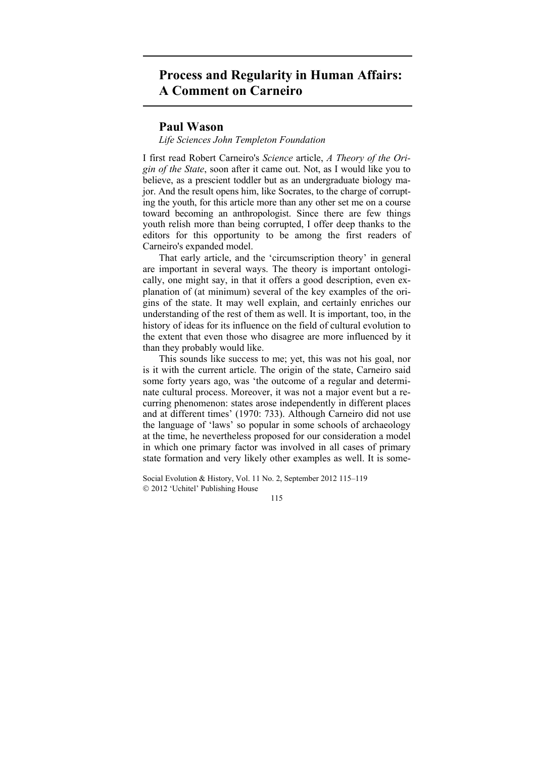## **Process and Regularity in Human Affairs: A Comment on Carneiro**

## **Paul Wason**

## *Life Sciences John Templeton Foundation*

I first read Robert Carneiro's *Science* article, *A Theory of the Origin of the State*, soon after it came out. Not, as I would like you to believe, as a prescient toddler but as an undergraduate biology major. And the result opens him, like Socrates, to the charge of corrupting the youth, for this article more than any other set me on a course toward becoming an anthropologist. Since there are few things youth relish more than being corrupted, I offer deep thanks to the editors for this opportunity to be among the first readers of Carneiro's expanded model.

That early article, and the 'circumscription theory' in general are important in several ways. The theory is important ontologically, one might say, in that it offers a good description, even explanation of (at minimum) several of the key examples of the origins of the state. It may well explain, and certainly enriches our understanding of the rest of them as well. It is important, too, in the history of ideas for its influence on the field of cultural evolution to the extent that even those who disagree are more influenced by it than they probably would like.

This sounds like success to me; yet, this was not his goal, nor is it with the current article. The origin of the state, Carneiro said some forty years ago, was 'the outcome of a regular and determinate cultural process. Moreover, it was not a major event but a recurring phenomenon: states arose independently in different places and at different times' (1970: 733). Although Carneiro did not use the language of 'laws' so popular in some schools of archaeology at the time, he nevertheless proposed for our consideration a model in which one primary factor was involved in all cases of primary state formation and very likely other examples as well. It is some-

Social Evolution & History, Vol. 11 No. 2, September 2012 115–119 2012 'Uchitel' Publishing House

115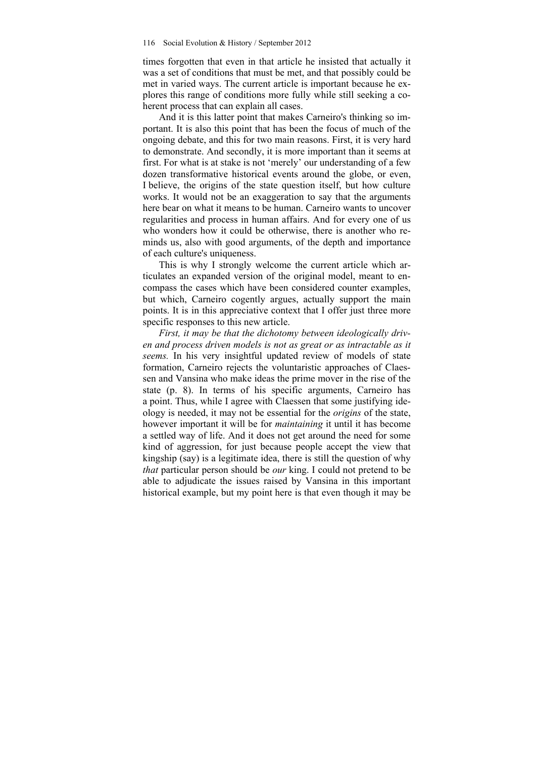times forgotten that even in that article he insisted that actually it was a set of conditions that must be met, and that possibly could be met in varied ways. The current article is important because he explores this range of conditions more fully while still seeking a coherent process that can explain all cases.

And it is this latter point that makes Carneiro's thinking so important. It is also this point that has been the focus of much of the ongoing debate, and this for two main reasons. First, it is very hard to demonstrate. And secondly, it is more important than it seems at first. For what is at stake is not 'merely' our understanding of a few dozen transformative historical events around the globe, or even, I believe, the origins of the state question itself, but how culture works. It would not be an exaggeration to say that the arguments here bear on what it means to be human. Carneiro wants to uncover regularities and process in human affairs. And for every one of us who wonders how it could be otherwise, there is another who reminds us, also with good arguments, of the depth and importance of each culture's uniqueness.

This is why I strongly welcome the current article which articulates an expanded version of the original model, meant to encompass the cases which have been considered counter examples, but which, Carneiro cogently argues, actually support the main points. It is in this appreciative context that I offer just three more specific responses to this new article.

*First, it may be that the dichotomy between ideologically driven and process driven models is not as great or as intractable as it seems.* In his very insightful updated review of models of state formation, Carneiro rejects the voluntaristic approaches of Claessen and Vansina who make ideas the prime mover in the rise of the state (p. 8). In terms of his specific arguments, Carneiro has a point. Thus, while I agree with Claessen that some justifying ideology is needed, it may not be essential for the *origins* of the state, however important it will be for *maintaining* it until it has become a settled way of life. And it does not get around the need for some kind of aggression, for just because people accept the view that kingship (say) is a legitimate idea, there is still the question of why *that* particular person should be *our* king. I could not pretend to be able to adjudicate the issues raised by Vansina in this important historical example, but my point here is that even though it may be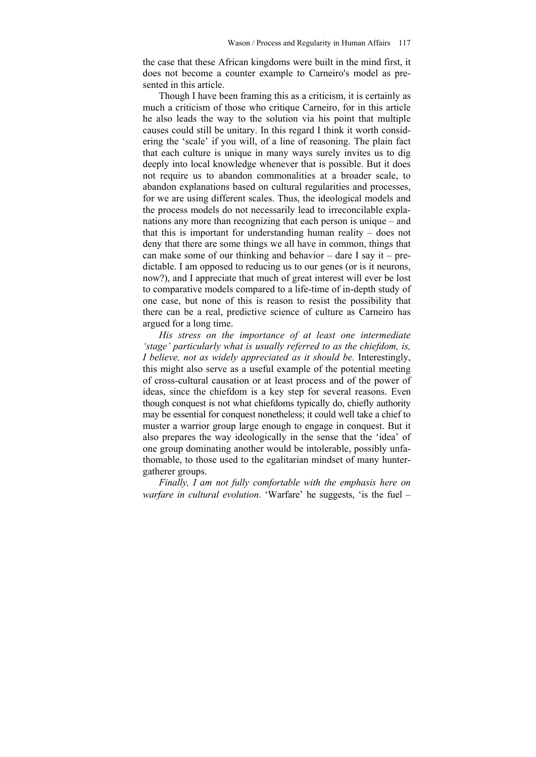the case that these African kingdoms were built in the mind first, it does not become a counter example to Carneiro's model as presented in this article.

Though I have been framing this as a criticism, it is certainly as much a criticism of those who critique Carneiro, for in this article he also leads the way to the solution via his point that multiple causes could still be unitary. In this regard I think it worth considering the 'scale' if you will, of a line of reasoning. The plain fact that each culture is unique in many ways surely invites us to dig deeply into local knowledge whenever that is possible. But it does not require us to abandon commonalities at a broader scale, to abandon explanations based on cultural regularities and processes, for we are using different scales. Thus, the ideological models and the process models do not necessarily lead to irreconcilable explanations any more than recognizing that each person is unique – and that this is important for understanding human reality – does not deny that there are some things we all have in common, things that can make some of our thinking and behavior – dare I say it – predictable. I am opposed to reducing us to our genes (or is it neurons, now?), and I appreciate that much of great interest will ever be lost to comparative models compared to a life-time of in-depth study of one case, but none of this is reason to resist the possibility that there can be a real, predictive science of culture as Carneiro has argued for a long time.

*His stress on the importance of at least one intermediate 'stage' particularly what is usually referred to as the chiefdom, is, I believe, not as widely appreciated as it should be.* Interestingly, this might also serve as a useful example of the potential meeting of cross-cultural causation or at least process and of the power of ideas, since the chiefdom is a key step for several reasons. Even though conquest is not what chiefdoms typically do, chiefly authority may be essential for conquest nonetheless; it could well take a chief to muster a warrior group large enough to engage in conquest. But it also prepares the way ideologically in the sense that the 'idea' of one group dominating another would be intolerable, possibly unfathomable, to those used to the egalitarian mindset of many huntergatherer groups.

*Finally, I am not fully comfortable with the emphasis here on warfare in cultural evolution*. 'Warfare' he suggests, 'is the fuel –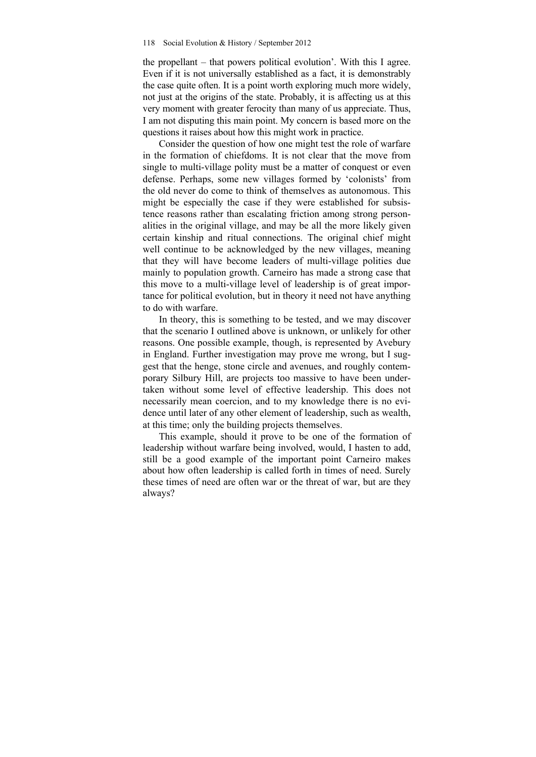the propellant – that powers political evolution'. With this I agree. Even if it is not universally established as a fact, it is demonstrably the case quite often. It is a point worth exploring much more widely, not just at the origins of the state. Probably, it is affecting us at this very moment with greater ferocity than many of us appreciate. Thus, I am not disputing this main point. My concern is based more on the questions it raises about how this might work in practice.

Consider the question of how one might test the role of warfare in the formation of chiefdoms. It is not clear that the move from single to multi-village polity must be a matter of conquest or even defense. Perhaps, some new villages formed by 'colonists' from the old never do come to think of themselves as autonomous. This might be especially the case if they were established for subsistence reasons rather than escalating friction among strong personalities in the original village, and may be all the more likely given certain kinship and ritual connections. The original chief might well continue to be acknowledged by the new villages, meaning that they will have become leaders of multi-village polities due mainly to population growth. Carneiro has made a strong case that this move to a multi-village level of leadership is of great importance for political evolution, but in theory it need not have anything to do with warfare.

In theory, this is something to be tested, and we may discover that the scenario I outlined above is unknown, or unlikely for other reasons. One possible example, though, is represented by Avebury in England. Further investigation may prove me wrong, but I suggest that the henge, stone circle and avenues, and roughly contemporary Silbury Hill, are projects too massive to have been undertaken without some level of effective leadership. This does not necessarily mean coercion, and to my knowledge there is no evidence until later of any other element of leadership, such as wealth, at this time; only the building projects themselves.

This example, should it prove to be one of the formation of leadership without warfare being involved, would, I hasten to add, still be a good example of the important point Carneiro makes about how often leadership is called forth in times of need. Surely these times of need are often war or the threat of war, but are they always?